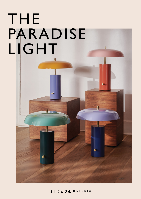# THE PARADISE LIGHTЛ

 $\overline{L}$ 

 $\mathbf{I}$ 

## ANGESTUDIO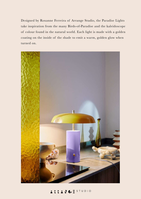Designed by Roxanne Ferreira of Arrange Studio, the Paradise Lights take inspiration from the many Birds-of-Paradise and the kaleidoscope of colour found in the natural world. Each light is made with a golden coating on the inside of the shade to emit a warm, golden glow when turned on.



## ARRANGESTUDIO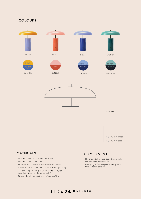#### COLOURS



#### MATERIALS

- / Powder coated spun aluminium shade
- / Powder coated steel base
- / Polished brass central stem and on/off switch
- / Coloured fabric cable with Legrand Euro 2pin plug
- / 2 x e14 lampholders (2x warm white LED globes included with every Paradise Light)
- / Designed and Manufactured in South Africa

#### COMPONENTS

- / The shade & base are boxed separately and are easy to assemble.
- / Packaging is fully recyclable and plastic free as far as possible.

### ARRANGESTUDIO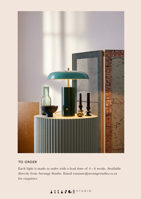

#### TO ORDER

Each light is made to order with a lead time of 4 - 6 weeks. Available directly from Arrange Studio. Email roxanne@arrangestudio.co.za for enquiries.

## ARRANGESTUDIO